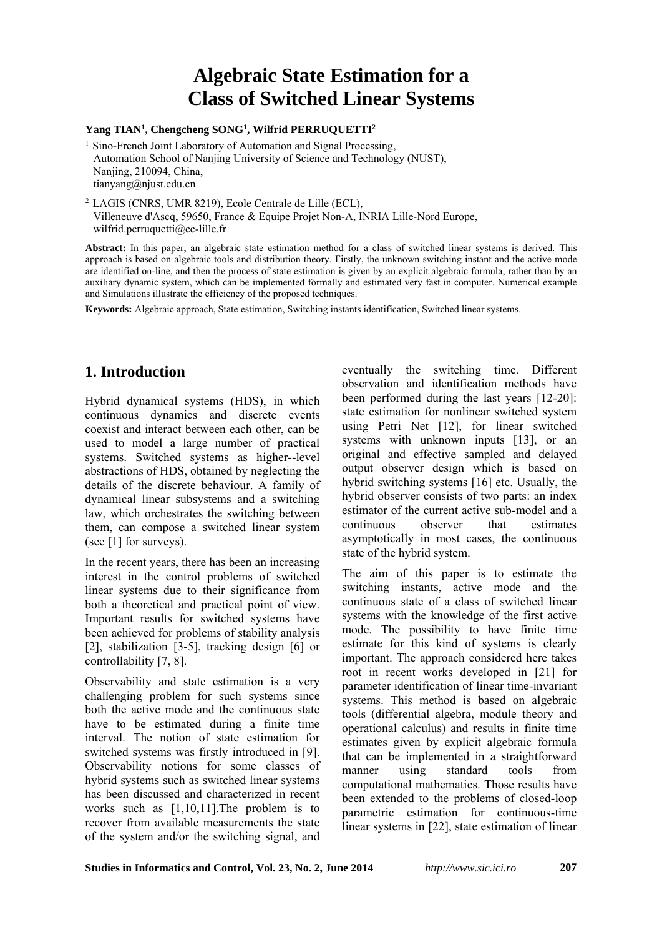# **Algebraic State Estimation for a Class of Switched Linear Systems**

#### **Yang TIAN<sup>1</sup> , Chengcheng SONG<sup>1</sup> , Wilfrid PERRUQUETTI<sup>2</sup>**

<sup>1</sup> Sino-French Joint Laboratory of Automation and Signal Processing, Automation School of Nanjing University of Science and Technology (NUST), Nanjing, 210094, China, tianyang@njust.edu.cn

<sup>2</sup>LAGIS (CNRS, UMR 8219), Ecole Centrale de Lille (ECL), Villeneuve d'Ascq, 59650, France & Equipe Projet Non-A, INRIA Lille-Nord Europe, wilfrid.perruquetti@ec-lille.fr

**Abstract:** In this paper, an algebraic state estimation method for a class of switched linear systems is derived. This approach is based on algebraic tools and distribution theory. Firstly, the unknown switching instant and the active mode are identified on-line, and then the process of state estimation is given by an explicit algebraic formula, rather than by an auxiliary dynamic system, which can be implemented formally and estimated very fast in computer. Numerical example and Simulations illustrate the efficiency of the proposed techniques.

**Keywords:** Algebraic approach, State estimation, Switching instants identification, Switched linear systems.

## **1. Introduction**

Hybrid dynamical systems (HDS), in which continuous dynamics and discrete events coexist and interact between each other, can be used to model a large number of practical systems. Switched systems as higher--level abstractions of HDS, obtained by neglecting the details of the discrete behaviour. A family of dynamical linear subsystems and a switching law, which orchestrates the switching between them, can compose a switched linear system (see [1] for surveys).

In the recent years, there has been an increasing interest in the control problems of switched linear systems due to their significance from both a theoretical and practical point of view. Important results for switched systems have been achieved for problems of stability analysis [2], stabilization [3-5], tracking design [6] or controllability [7, 8].

Observability and state estimation is a very challenging problem for such systems since both the active mode and the continuous state have to be estimated during a finite time interval. The notion of state estimation for switched systems was firstly introduced in [9]. Observability notions for some classes of hybrid systems such as switched linear systems has been discussed and characterized in recent works such as [1,10,11].The problem is to recover from available measurements the state of the system and/or the switching signal, and

eventually the switching time. Different observation and identification methods have been performed during the last years [12-20]: state estimation for nonlinear switched system using Petri Net [12], for linear switched systems with unknown inputs [13], or an original and effective sampled and delayed output observer design which is based on hybrid switching systems [16] etc. Usually, the hybrid observer consists of two parts: an index estimator of the current active sub-model and a continuous observer that estimates asymptotically in most cases, the continuous state of the hybrid system.

The aim of this paper is to estimate the switching instants, active mode and the continuous state of a class of switched linear systems with the knowledge of the first active mode. The possibility to have finite time estimate for this kind of systems is clearly important. The approach considered here takes root in recent works developed in [21] for parameter identification of linear time-invariant systems. This method is based on algebraic tools (differential algebra, module theory and operational calculus) and results in finite time estimates given by explicit algebraic formula that can be implemented in a straightforward manner using standard tools from computational mathematics. Those results have been extended to the problems of closed-loop parametric estimation for continuous-time linear systems in [22], state estimation of linear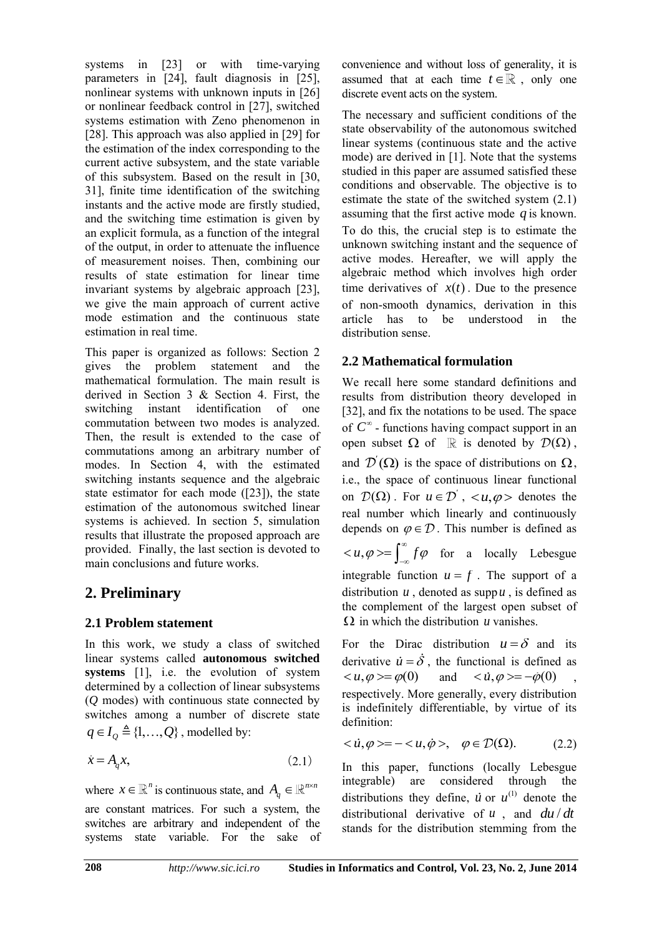systems in [23] or with time-varying parameters in [24], fault diagnosis in [25], nonlinear systems with unknown inputs in [26] or nonlinear feedback control in [27], switched systems estimation with Zeno phenomenon in [28]. This approach was also applied in [29] for the estimation of the index corresponding to the current active subsystem, and the state variable of this subsystem. Based on the result in [30, 31], finite time identification of the switching instants and the active mode are firstly studied, and the switching time estimation is given by an explicit formula, as a function of the integral of the output, in order to attenuate the influence of measurement noises. Then, combining our results of state estimation for linear time invariant systems by algebraic approach [23], we give the main approach of current active mode estimation and the continuous state estimation in real time.

This paper is organized as follows: Section 2 gives the problem statement and the mathematical formulation. The main result is derived in Section 3 & Section 4. First, the switching instant identification of one commutation between two modes is analyzed. Then, the result is extended to the case of commutations among an arbitrary number of modes. In Section 4, with the estimated switching instants sequence and the algebraic state estimator for each mode ([23]), the state estimation of the autonomous switched linear systems is achieved. In section 5, simulation results that illustrate the proposed approach are provided. Finally, the last section is devoted to main conclusions and future works.

## **2. Preliminary**

### **2.1 Problem statement**

In this work, we study a class of switched linear systems called **autonomous switched systems** [1], i.e. the evolution of system determined by a collection of linear subsystems (*Q* modes) with continuous state connected by switches among a number of discrete state  $q \in I_Q \triangleq \{1, \ldots, Q\}$ , modelled by:

$$
\dot{x} = A_q x,\tag{2.1}
$$

where  $x \in \mathbb{R}^n$  is continuous state, and  $A_q \in \mathbb{R}^{n \times n}$ 

are constant matrices. For such a system, the switches are arbitrary and independent of the systems state variable. For the sake of

convenience and without loss of generality, it is assumed that at each time  $t \in \mathbb{R}$ , only one discrete event acts on the system.

The necessary and sufficient conditions of the state observability of the autonomous switched linear systems (continuous state and the active mode) are derived in [1]. Note that the systems studied in this paper are assumed satisfied these conditions and observable. The objective is to estimate the state of the switched system (2.1) assuming that the first active mode  $q$  is known. To do this, the crucial step is to estimate the unknown switching instant and the sequence of active modes. Hereafter, we will apply the algebraic method which involves high order time derivatives of  $x(t)$ . Due to the presence of non-smooth dynamics, derivation in this article has to be understood in the distribution sense.

### **2.2 Mathematical formulation**

We recall here some standard definitions and results from distribution theory developed in [32], and fix the notations to be used. The space of  $C^{\infty}$  - functions having compact support in an open subset  $\Omega$  of  $\mathbb R$  is denoted by  $\mathcal{D}(\Omega)$ , and  $\mathcal{D}'(\Omega)$  is the space of distributions on  $\Omega$ , i.e., the space of continuous linear functional on  $\mathcal{D}(\Omega)$ . For  $u \in \mathcal{D}'$ ,  $\langle u, \varphi \rangle$  denotes the real number which linearly and continuously depends on  $\varphi \in \mathcal{D}$ . This number is defined as  $u, \varphi \geq \int_{0}^{\infty} f \varphi$  $\langle u, \varphi \rangle = \int_{-\infty}^{\infty} f \varphi$  for a locally Lebesgue integrable function  $u = f$ . The support of a distribution  $u$ , denoted as supp  $u$ , is defined as the complement of the largest open subset of  $\Omega$  in which the distribution *u* vanishes.

For the Dirac distribution  $u = \delta$  and its derivative  $\dot{u} = \delta$ , the functional is defined as  $u, \varphi> = \varphi(0)$  and  $i, \varphi> = -\dot{\varphi}(0)$ ,</u></u> respectively. More generally, every distribution is indefinitely differentiable, by virtue of its definition:

$$
\langle \dot{u}, \varphi \rangle = -\langle u, \dot{\varphi} \rangle, \quad \varphi \in \mathcal{D}(\Omega). \tag{2.2}
$$

In this paper, functions (locally Lebesgue integrable) are considered through the distributions they define,  $\dot{u}$  or  $u^{(1)}$  denote the distributional derivative of  $u$ , and  $du/dt$ stands for the distribution stemming from the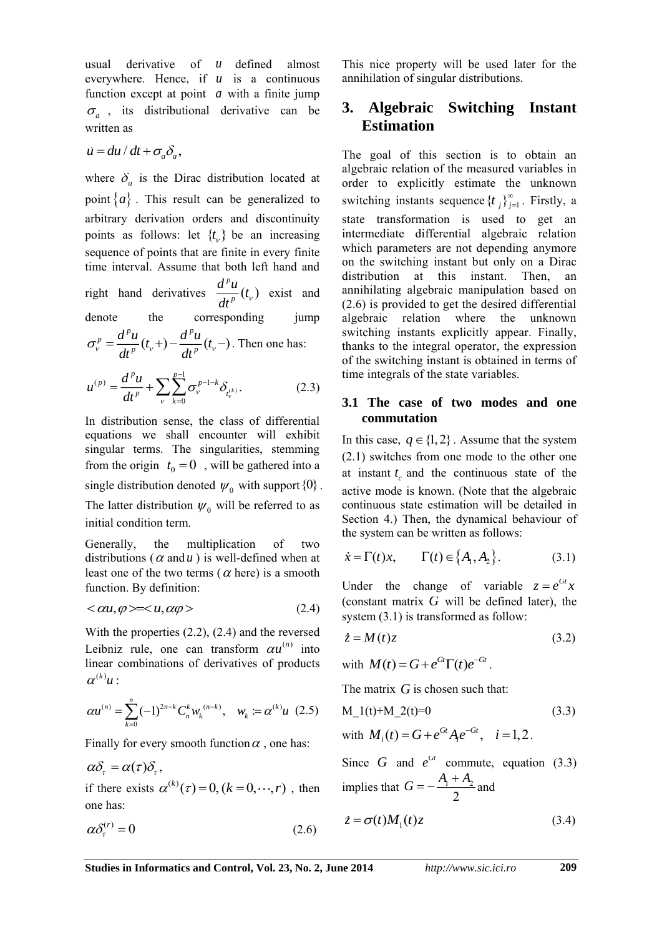usual derivative of *u* defined almost everywhere. Hence, if *u* is a continuous function except at point a with a finite jump  $\sigma_a$ , its distributional derivative can be written as

$$
\dot{u} = du/dt + \sigma_a \delta_a,
$$

where  $\delta_a$  is the Dirac distribution located at point  $\{a\}$ . This result can be generalized to arbitrary derivation orders and discontinuity points as follows: let  $\{t_{\nu}\}\$ be an increasing sequence of points that are finite in every finite time interval. Assume that both left hand and right hand derivatives  $\frac{d^p u}{dx^p}$  (t<sub>v</sub>) *p*  $\frac{d^p u}{dt^p}(t_v)$  exist and denote the corresponding jump  $\frac{d^p u}{dx^p} = \frac{d^p u}{dx^p} (t_v +) - \frac{d^p u}{dx^p} (t_v -)$ *p p*  $\sigma_v^p = \frac{d^p u}{dt^p}(t_v +) - \frac{d^p u}{dt^p}(t_v -)$ . Then one has:  $(k)$  $\mathcal{L}(p) = \frac{d^p u}{dx^p} + \sum_{n=1}^{p-1} \sigma_{n}^{p-1-k} \delta_{n,k}$  $(p)$   $\frac{d^p u}{dx^p}$   $\frac{p-1}{2} e^{p-1-k}$  $u^{(p)} = \frac{d^p u}{dt^p} + \sum_{v} \sum_{k=0}^{p-1} \sigma_v^{p-1-k} \delta_{t_v^{(p)}}$ (2.3)

In distribution sense, the class of differential equations we shall encounter will exhibit singular terms. The singularities, stemming from the origin 
$$
t_0 = 0
$$
, will be gathered into a single distribution denoted  $\psi_0$  with support  $\{0\}$ .

*p t*

The latter distribution  $\psi_0$  will be referred to as initial condition term.

Generally, the multiplication of two distributions ( $\alpha$  and  $u$ ) is well-defined when at least one of the two terms ( $\alpha$  here) is a smooth function. By definition:

$$
\langle \alpha u, \varphi \rangle = \langle u, \alpha \varphi \rangle \tag{2.4}
$$

With the properties (2.2), (2.4) and the reversed Leibniz rule, one can transform  $\alpha u^{(n)}$  into linear combinations of derivatives of products  $\alpha^{(k)}u$  :

$$
\alpha u^{(n)} = \sum_{k=0}^{n} (-1)^{2n-k} C_n^k w_k^{(n-k)}, \quad w_k := \alpha^{(k)} u \tag{2.5}
$$

Finally for every smooth function  $\alpha$ , one has:

$$
\alpha \delta_{\tau} = \alpha(\tau) \delta_{\tau},
$$

if there exists  $\alpha^{(k)}(\tau) = 0$ ,  $(k = 0, \dots, r)$ , then one has:

$$
\alpha \delta_{\tau}^{(r)} = 0 \tag{2.6}
$$

This nice property will be used later for the annihilation of singular distributions.

## **3. Algebraic Switching Instant Estimation**

The goal of this section is to obtain an algebraic relation of the measured variables in order to explicitly estimate the unknown switching instants sequence  $\{t_j\}_{j=1}^{\infty}$ . Firstly, a state transformation is used to get an intermediate differential algebraic relation which parameters are not depending anymore on the switching instant but only on a Dirac distribution at this instant. Then, an annihilating algebraic manipulation based on (2.6) is provided to get the desired differential algebraic relation where the unknown switching instants explicitly appear. Finally, thanks to the integral operator, the expression of the switching instant is obtained in terms of time integrals of the state variables.

#### **3.1 The case of two modes and one commutation**

In this case,  $q \in \{1,2\}$ . Assume that the system (2.1) switches from one mode to the other one at instant  $t_c$  and the continuous state of the active mode is known. (Note that the algebraic continuous state estimation will be detailed in Section 4.) Then, the dynamical behaviour of the system can be written as follows:

$$
\dot{x} = \Gamma(t)x, \qquad \Gamma(t) \in \{A_1, A_2\}.
$$
 (3.1)

Under the change of variable  $z = e^{Gt}x$ (constant matrix  $G$  will be defined later), the system (3.1) is transformed as follow:

$$
\dot{z} = M(t)z \tag{3.2}
$$

with  $M(t) = G + e^{Gt} \Gamma(t) e^{-Gt}$ .

The matrix  $G$  is chosen such that:

$$
M_1(t)+M_2(t)=0
$$
 (3.3)

with 
$$
M_i(t) = G + e^{Gt} A_i e^{-Gt}
$$
,  $i = 1, 2$ .

Since G and 
$$
e^{Gt}
$$
 commute, equation (3.3)  
implies that  $G = -\frac{A_1 + A_2}{2}$  and

$$
\dot{z} = \sigma(t)M_1(t)z\tag{3.4}
$$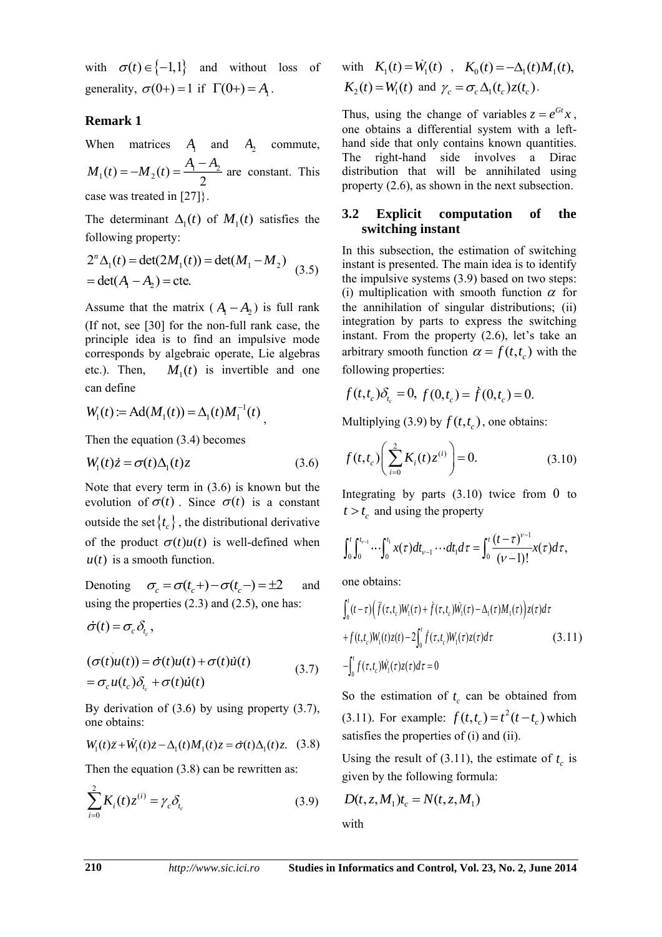with  $\sigma(t) \in \{-1,1\}$  and without loss of generality,  $\sigma(0+) = 1$  if  $\Gamma(0+) = A_1$ .

### **Remark 1**

When matrices  $A_1$  and  $A_2$  commute,  $_1(t) = -M_2(t) = \frac{1}{2} \frac{1}{2}$  $M_1(t) = -M_2(t) = \frac{A_1 - A_2}{2}$  are constant. This case was treated in [27]}.

The determinant  $\Delta_1(t)$  of  $M_1(t)$  satisfies the following property:

$$
2^{n} \Delta_{1}(t) = \det(2M_{1}(t)) = \det(M_{1} - M_{2})
$$
  
= det(A<sub>1</sub> - A<sub>2</sub>) = cte. (3.5)

Assume that the matrix  $(A_1 - A_2)$  is full rank (If not, see [30] for the non-full rank case, the principle idea is to find an impulsive mode corresponds by algebraic operate, Lie algebras etc.). Then,  $M_1(t)$  is invertible and one can define

$$
W_1(t) := \mathrm{Ad}(M_1(t)) = \Delta_1(t)M_1^{-1}(t),
$$

Then the equation (3.4) becomes

$$
W_1(t)\dot{z} = \sigma(t)\Delta_1(t)z\tag{3.6}
$$

Note that every term in (3.6) is known but the evolution of  $\sigma(t)$ . Since  $\sigma(t)$  is a constant outside the set  $\{t_c\}$ , the distributional derivative of the product  $\sigma(t)u(t)$  is well-defined when  $u(t)$  is a smooth function.

Denoting  $\sigma_c = \sigma(t_c+) - \sigma(t_c-) = \pm 2$  and using the properties (2.3) and (2.5), one has:

$$
\dot{\sigma}(t) = \sigma_c \, \delta_{t_c},
$$

$$
(\sigma(t)u(t)) = \dot{\sigma}(t)u(t) + \sigma(t)\dot{u}(t)
$$
  
=  $\sigma_c u(t_c)\delta_{t_c} + \sigma(t)\dot{u}(t)$  (3.7)

By derivation of (3.6) by using property (3.7), one obtains:

$$
W_1(t)\ddot{z} + \dot{W}_1(t)\dot{z} - \Delta_1(t)M_1(t)z = \dot{\sigma}(t)\Delta_1(t)z.
$$
 (3.8)

Then the equation (3.8) can be rewritten as:

$$
\sum_{i=0}^{2} K_i(t) z^{(i)} = \gamma_c \delta_{t_c}
$$
 (3.9)

with 
$$
K_1(t) = \dot{W}_1(t)
$$
,  $K_0(t) = -\Delta_1(t)M_1(t)$ ,  
\n $K_2(t) = W_1(t)$  and  $\gamma_c = \sigma_c \Delta_1(t_c)z(t_c)$ .

Thus, using the change of variables  $z = e^{Gt}x$ , one obtains a differential system with a lefthand side that only contains known quantities. The right-hand side involves a Dirac distribution that will be annihilated using property (2.6), as shown in the next subsection.

#### **3.2 Explicit computation of the switching instant**

In this subsection, the estimation of switching instant is presented. The main idea is to identify the impulsive systems (3.9) based on two steps: (i) multiplication with smooth function  $\alpha$  for the annihilation of singular distributions; (ii) integration by parts to express the switching instant. From the property (2.6), let's take an arbitrary smooth function  $\alpha = f(t, t_c)$  with the following properties:

$$
f(t, t_c)\delta_{t_c} = 0
$$
,  $f(0, t_c) = \dot{f}(0, t_c) = 0$ .

Multiplying (3.9) by  $f(t,t_c)$ , one obtains:

$$
f(t,t_c)\left(\sum_{i=0}^{2}K_i(t)z^{(i)}\right) = 0.
$$
 (3.10)

Integrating by parts  $(3.10)$  twice from 0 to  $t > t_c$  and using the property

$$
\int_0^t \int_0^{t_{\nu-1}} \cdots \int_0^{t_1} x(\tau) dt_{\nu-1} \cdots dt_1 d\tau = \int_0^t \frac{(t-\tau)^{\nu-1}}{(\nu-1)!} x(\tau) d\tau,
$$

one obtains:

$$
\int_0^t (t-\tau) \Big( \ddot{f}(\tau, t_c) W_1(\tau) + \dot{f}(\tau, t_c) W_1(\tau) - \Delta_1(\tau) M_1(\tau) \Big) z(\tau) d\tau + f(t, t_c) W_1(t) z(t) - 2 \int_0^t \dot{f}(\tau, t_c) W_1(\tau) z(\tau) d\tau
$$
(3.11)  

$$
- \int_0^t f(\tau, t_c) W_1(\tau) z(\tau) d\tau = 0
$$

So the estimation of  $t_c$  can be obtained from  $(3.11)$ . For example:  $f(t, t_c) = t^2(t - t_c)$  which satisfies the properties of (i) and (ii).

Using the result of (3.11), the estimate of  $t_c$  is given by the following formula:

$$
D(t, z, M_1)t_c = N(t, z, M_1)
$$

with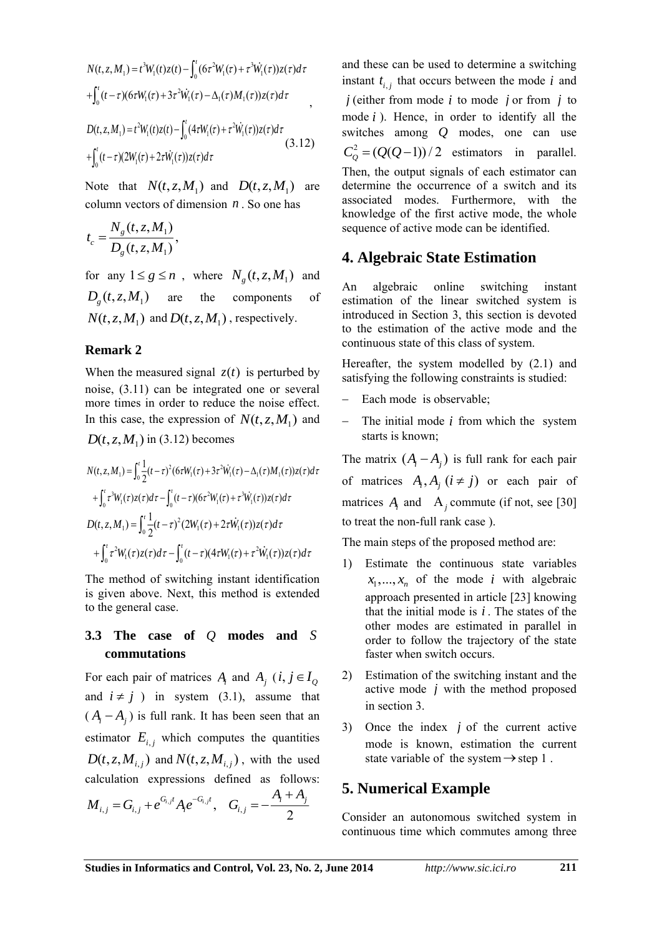$$
N(t, z, M_1) = t^3 W_1(t) z(t) - \int_0^t (6\tau^2 W_1(\tau) + \tau^3 \dot{W}_1(\tau)) z(\tau) d\tau
$$
  
+ 
$$
\int_0^t (t-\tau) (6\tau W_1(\tau) + 3\tau^2 \dot{W}_1(\tau) - \Delta_1(\tau) M_1(\tau)) z(\tau) d\tau
$$
  

$$
D(t, z, M_1) = t^2 W_1(t) z(t) - \int_0^t (4\tau W_1(\tau) + \tau^2 \dot{W}_1(\tau)) z(\tau) d\tau
$$
  
+ 
$$
\int_0^t (t-\tau) (2W_1(\tau) + 2\tau \dot{W}_1(\tau)) z(\tau) d\tau
$$
 (3.12)

Note that  $N(t, z, M_1)$  and  $D(t, z, M_1)$  are column vectors of dimension  $n$ . So one has

$$
t_c = \frac{N_g(t, z, M_1)}{D_g(t, z, M_1)},
$$

for any  $1 \le g \le n$ , where  $N_g(t, z, M_1)$  and  $D_g(t, z, M_1)$  are the components of  $N(t, z, M_1)$  and  $D(t, z, M_1)$ , respectively.

#### **Remark 2**

When the measured signal  $z(t)$  is perturbed by noise, (3.11) can be integrated one or several more times in order to reduce the noise effect. In this case, the expression of  $N(t, z, M_1)$  and

$$
D(t, z, M_1) \text{ in (3.12) becomes}
$$
\n
$$
N(t, z, M_1) = \int_0^t \frac{1}{2} (t - \tau)^2 (6\tau W_1(\tau) + 3\tau^2 \dot{W}_1(\tau) - \Delta_1(\tau) M_1(\tau)) z(\tau) d\tau
$$
\n
$$
+ \int_0^t \tau^3 W_1(\tau) z(\tau) d\tau - \int_0^t (t - \tau) (6\tau^2 W_1(\tau) + \tau^3 \dot{W}_1(\tau)) z(\tau) d\tau
$$
\n
$$
D(t, z, M_1) = \int_0^t \frac{1}{2} (t - \tau)^2 (2W_1(\tau) + 2\tau \dot{W}_1(\tau)) z(\tau) d\tau
$$
\n
$$
+ \int_0^t \tau^2 W_1(\tau) z(\tau) d\tau - \int_0^t (t - \tau) (4\tau W_1(\tau) + \tau^2 \dot{W}_1(\tau)) z(\tau) d\tau
$$

The method of switching instant identification is given above. Next, this method is extended to the general case.

### **3.3 The case of**  *Q* **modes and**  *S* **commutations**

For each pair of matrices  $A_i$  and  $A_j$  (*i*,  $j \in I_Q$ and  $i \neq j$  ) in system (3.1), assume that  $(A_i - A_j)$  is full rank. It has been seen that an estimator  $E_{i,j}$  which computes the quantities  $D(t, z, M_{i,j})$  and  $N(t, z, M_{i,j})$ , with the used calculation expressions defined as follows: *A A*

$$
M_{i,j} = G_{i,j} + e^{G_{i,j}t} A_i e^{-G_{i,j}t}, \quad G_{i,j} = -\frac{A_i + A_j}{2}
$$

**Studies in the studies of the studies in the studies in the studies in the studies in the studies in the studies in the studies in the studies in the studies in the studies in the studies in the studies in the studies in** and these can be used to determine a switching instant  $t_{i,j}$  that occurs between the mode  $i$  and  $j$  (either from mode  $i$  to mode  $j$  or from  $j$  to mode *i* ). Hence, in order to identify all the switches among *Q* modes, one can use  $C_Q^2 = (Q(Q-1))/2$  estimators in parallel. Then, the output signals of each estimator can determine the occurrence of a switch and its associated modes. Furthermore, with the knowledge of the first active mode, the whole sequence of active mode can be identified.

### **4. Algebraic State Estimation**

An algebraic online switching instant estimation of the linear switched system is introduced in Section 3, this section is devoted to the estimation of the active mode and the continuous state of this class of system.

Hereafter, the system modelled by (2.1) and satisfying the following constraints is studied:

- Each mode is observable;
- The initial mode *i* from which the system starts is known;

The matrix  $(A_i - A_j)$  is full rank for each pair of matrices  $A_i$ ,  $A_j$  ( $i \neq j$ ) or each pair of matrices  $A_i$  and  $A_j$  commute (if not, see [30] to treat the non-full rank case ).

The main steps of the proposed method are:

- 1) Estimate the continuous state variables  $x_1, \ldots, x_n$  of the mode *i* with algebraic approach presented in article [23] knowing that the initial mode is  $i$ . The states of the other modes are estimated in parallel in order to follow the trajectory of the state faster when switch occurs.
- 2) Estimation of the switching instant and the active mode *j* with the method proposed in section 3.
- 3) Once the index *j* of the current active mode is known, estimation the current state variable of the system  $\rightarrow$  step 1.

## **5. Numerical Example**

Consider an autonomous switched system in continuous time which commutes among three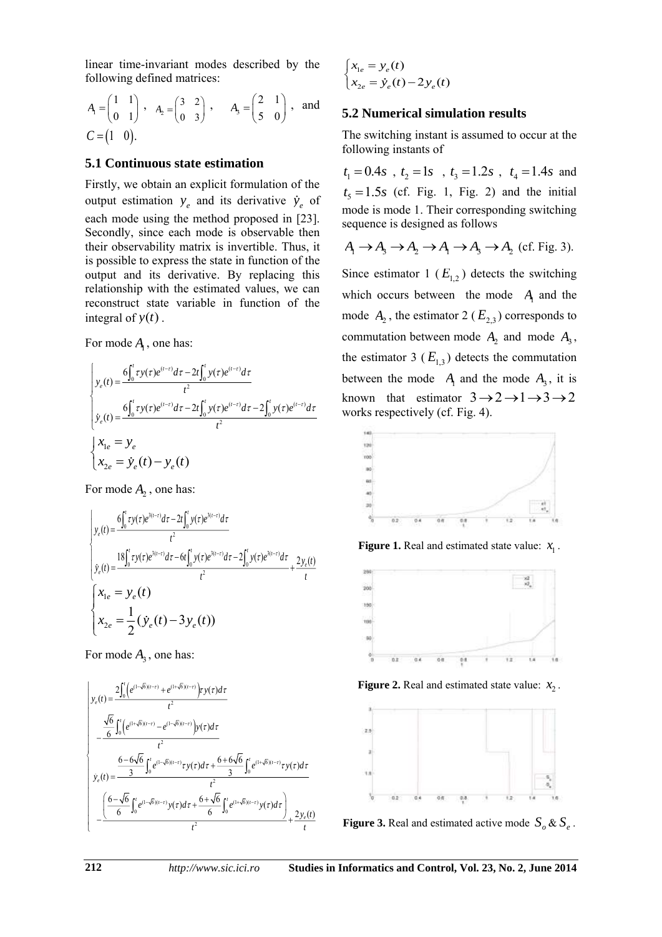linear time-invariant modes described by the following defined matrices:

$$
A_1 = \begin{pmatrix} 1 & 1 \\ 0 & 1 \end{pmatrix}, A_2 = \begin{pmatrix} 3 & 2 \\ 0 & 3 \end{pmatrix}, A_3 = \begin{pmatrix} 2 & 1 \\ 5 & 0 \end{pmatrix}, \text{ and}
$$
  

$$
C = \begin{pmatrix} 1 & 0 \end{pmatrix}.
$$

#### **5.1 Continuous state estimation**

Firstly, we obtain an explicit formulation of the output estimation  $y_e$  and its derivative  $\dot{y}_e$  of each mode using the method proposed in [23]. Secondly, since each mode is observable then their observability matrix is invertible. Thus, it is possible to express the state in function of the output and its derivative. By replacing this relationship with the estimated values, we can reconstruct state variable in function of the integral of  $y(t)$ .

For mode 
$$
A_1
$$
, one has:  
\n
$$
\begin{cases}\ny_e(t) = \frac{6 \int_0^t \tau y(\tau) e^{(t-\tau)} d\tau - 2t \int_0^t y(\tau) e^{(t-\tau)} d\tau}{t^2} & \text{to} \\
y_e(t) = \frac{6 \int_0^t \tau y(\tau) e^{(t-\tau)} d\tau - 2t \int_0^t y(\tau) e^{(t-\tau)} d\tau - 2 \int_0^t y(\tau) e^{(t-\tau)} d\tau}{t^2} & \text{w}\n\end{cases}
$$
\n
$$
\begin{cases}\nx_{1e} = y_e \\
x_{2e} = \dot{y}_e(t) - y_e(t)\n\end{cases}
$$

For mode  $A_2$ , one has:

$$
\begin{cases}\ny_e(t) = \frac{6 \int_0^t \tau y(\tau) e^{3(t-\tau)} d\tau - 2t \int_0^t y(\tau) e^{3(t-\tau)} d\tau}{t^2} \\
y_e(t) = \frac{18 \int_0^t \tau y(\tau) e^{3(t-\tau)} d\tau - 6t \int_0^t y(\tau) e^{3(t-\tau)} d\tau - 2 \int_0^t y(\tau) e^{3(t-\tau)} d\tau}{t^2} + \frac{2y_e(t)}{t} \\
x_{1e} = y_e(t) \\
x_{2e} = \frac{1}{2} (\dot{y}_e(t) - 3y_e(t))\n\end{cases}
$$

For mode  $A_3$ , one has:

$$
\begin{cases}\ny_e(t) = \frac{2\int_0^t \left(e^{(1-\sqrt{6})(t-\tau)} + e^{(1+\sqrt{6})(t-\tau)}\right) y(\tau) d\tau}{t^2} \\
-\frac{\frac{\sqrt{6}}{6} \int_0^t \left(e^{(1+\sqrt{6})(t-\tau)} - e^{(1-\sqrt{6})(t-\tau)}\right) y(\tau) d\tau}{t^2} \\
\dot{y}_e(t) = \frac{\frac{6-6\sqrt{6}}{3} \int_0^t e^{(1-\sqrt{6})(t-\tau)} \tau y(\tau) d\tau + \frac{6+6\sqrt{6}}{3} \int_0^t e^{(1+\sqrt{6})(t-\tau)} \tau y(\tau) d\tau}{t^2} \\
-\frac{\left(\frac{6-\sqrt{6}}{6} \int_0^t e^{(1-\sqrt{6})(t-\tau)} y(\tau) d\tau + \frac{6+\sqrt{6}}{6} \int_0^t e^{(1+\sqrt{6})(t-\tau)} y(\tau) d\tau\right)}{t^2} + \frac{2y_e(t)}{t}\n\end{cases}
$$

$$
\begin{cases} x_{1e} = y_e(t) \\ x_{2e} = \dot{y}_e(t) - 2y_e(t) \end{cases}
$$

### **5.2 Numerical simulation results**

The switching instant is assumed to occur at the following instants of

 $t_1 = 0.4s$ ,  $t_2 = 1s$ ,  $t_3 = 1.2s$ ,  $t_4 = 1.4s$  and  $t_5 = 1.5s$  (cf. Fig. 1, Fig. 2) and the initial mode is mode 1. Their corresponding switching sequence is designed as follows

$$
A_1 \rightarrow A_3 \rightarrow A_2 \rightarrow A_1 \rightarrow A_3 \rightarrow A_2 \text{ (cf. Fig. 3).}
$$

Since estimator 1  $(E_{1,2})$  detects the switching which occurs between the mode  $A_1$  and the mode  $A_2$ , the estimator 2 ( $E_{2,3}$ ) corresponds to commutation between mode  $A_2$  and mode  $A_3$ , the estimator 3  $(E_{1,3})$  detects the commutation between the mode  $A_1$  and the mode  $A_3$ , it is known that estimator  $3 \rightarrow 2 \rightarrow 1 \rightarrow 3 \rightarrow 2$ works respectively (cf. Fig. 4).



**Figure 1.** Real and estimated state value:  $x_1$ .



**Figure 2.** Real and estimated state value:  $x_2$ .



**Figure 3.** Real and estimated active mode  $S_{\rho} \& S_{\rho}$ .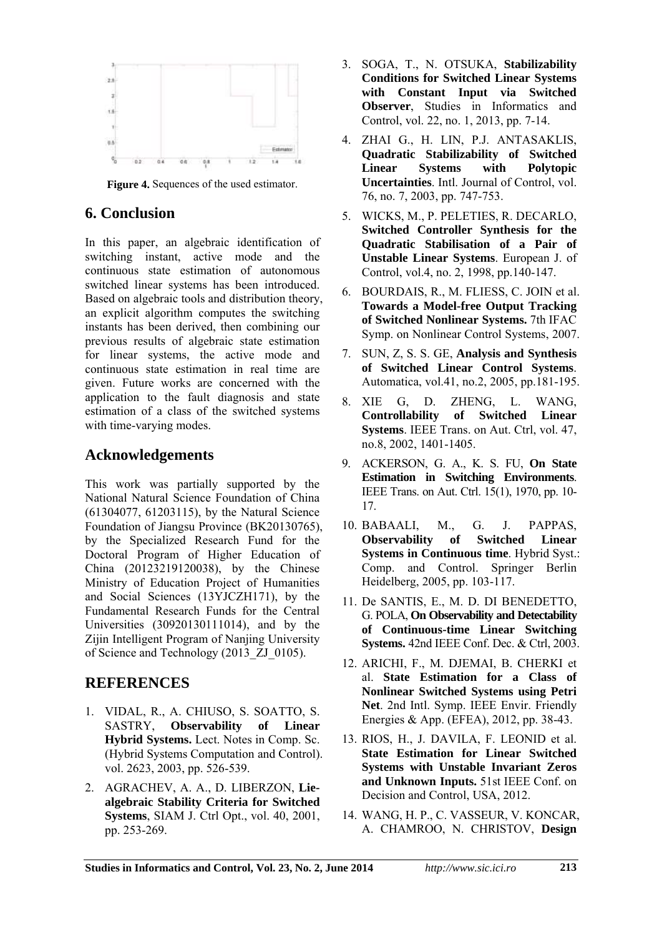

**Figure 4.** Sequences of the used estimator.

## **6. Conclusion**

In this paper, an algebraic identification of switching instant, active mode and the continuous state estimation of autonomous switched linear systems has been introduced. Based on algebraic tools and distribution theory, an explicit algorithm computes the switching instants has been derived, then combining our previous results of algebraic state estimation for linear systems, the active mode and continuous state estimation in real time are given. Future works are concerned with the application to the fault diagnosis and state estimation of a class of the switched systems with time-varying modes.

## **Acknowledgements**

This work was partially supported by the National Natural Science Foundation of China (61304077, 61203115), by the Natural Science Foundation of Jiangsu Province (BK20130765), by the Specialized Research Fund for the Doctoral Program of Higher Education of China (20123219120038), by the Chinese Ministry of Education Project of Humanities and Social Sciences (13YJCZH171), by the Fundamental Research Funds for the Central Universities (30920130111014), and by the Zijin Intelligent Program of Nanjing University of Science and Technology (2013\_ZJ\_0105).

## **REFERENCES**

- 1. VIDAL, R., A. CHIUSO, S. SOATTO, S. SASTRY, **Observability of Linear Hybrid Systems.** Lect. Notes in Comp. Sc. (Hybrid Systems Computation and Control). vol. 2623, 2003, pp. 526-539.
- 2. AGRACHEV, A. A., D. LIBERZON, **Liealgebraic Stability Criteria for Switched Systems**, SIAM J. Ctrl Opt., vol. 40, 2001, pp. 253-269.
- 3. SOGA, T., N. OTSUKA, **Stabilizability Conditions for Switched Linear Systems with Constant Input via Switched Observer**, Studies in Informatics and Control, vol. 22, no. 1, 2013, pp. 7-14.
- 4. ZHAI G., H. LIN, P.J. ANTASAKLIS, **Quadratic Stabilizability of Switched Linear Systems with Polytopic Uncertainties**. Intl. Journal of Control, vol. 76, no. 7, 2003, pp. 747-753.
- 5. WICKS, M., P. PELETIES, R. DECARLO, **Switched Controller Synthesis for the Quadratic Stabilisation of a Pair of Unstable Linear Systems**. European J. of Control, vol.4, no. 2, 1998, pp.140-147.
- 6. BOURDAIS, R., M. FLIESS, C. JOIN et al. **Towards a Model-free Output Tracking of Switched Nonlinear Systems.** 7th IFAC Symp. on Nonlinear Control Systems, 2007.
- 7. SUN, Z, S. S. GE, **Analysis and Synthesis of Switched Linear Control Systems**. Automatica, vol.41, no.2, 2005, pp.181-195.
- 8. XIE G, D. ZHENG, L. WANG, **Controllability of Switched Linear Systems**. IEEE Trans. on Aut. Ctrl, vol. 47, no.8, 2002, 1401-1405.
- 9. ACKERSON, G. A., K. S. FU, **On State Estimation in Switching Environments**. IEEE Trans. on Aut. Ctrl. 15(1), 1970, pp. 10- 17.
- 10. BABAALI, M., G. J. PAPPAS, **Observability of Switched Linear Systems in Continuous time**. Hybrid Syst.: Comp. and Control. Springer Berlin Heidelberg, 2005, pp. 103-117.
- 11. De SANTIS, E., M. D. DI BENEDETTO, G. POLA, **On Observability and Detectability of Continuous-time Linear Switching Systems.** 42nd IEEE Conf. Dec. & Ctrl, 2003.
- 12. ARICHI, F., M. DJEMAI, B. CHERKI et al. **State Estimation for a Class of Nonlinear Switched Systems using Petri Net**. 2nd Intl. Symp. IEEE Envir. Friendly Energies & App. (EFEA), 2012, pp. 38-43.
- 13. RIOS, H., J. DAVILA, F. LEONID et al. **State Estimation for Linear Switched Systems with Unstable Invariant Zeros and Unknown Inputs.** 51st IEEE Conf. on Decision and Control, USA, 2012.
- 14. WANG, H. P., C. VASSEUR, V. KONCAR, A. CHAMROO, N. CHRISTOV, **Design**